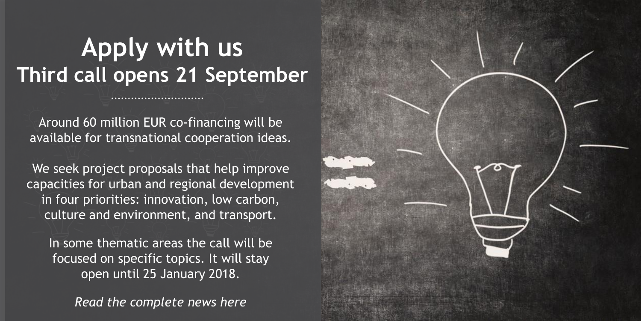## **Apply with us Third call opens 21 September**

Around 60 million EUR co-financing will be available for transnational cooperation ideas.

We seek project proposals that help improve capacities for urban and regional development in four priorities: innovation, low carbon, culture and environment, and transport.

In some thematic areas the call will be focused on specific topics. It will stay open until 25 January 2018.

*Read the complete news here*

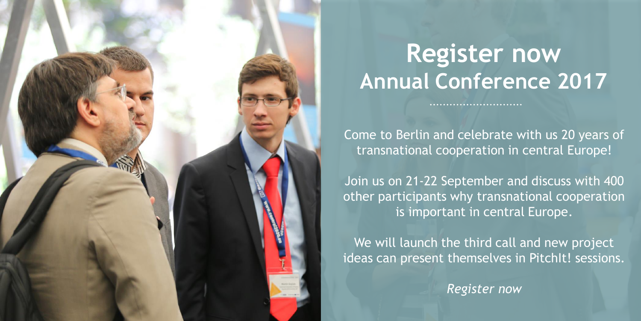

## **Register now Annual Conference 2017**

Come to Berlin and celebrate with us 20 years of transnational cooperation in central Europe!

Join us on 21-22 September and discuss with 400 other participants why transnational cooperation is important in central Europe.

We will launch the third call and new project ideas can present themselves in PitchIt! sessions.

*Register now*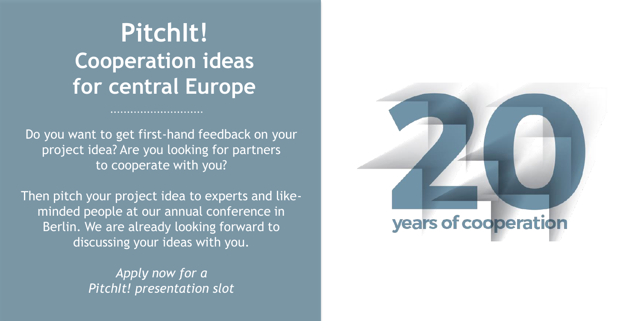## **PitchIt! Cooperation ideas for central Europe**

Do you want to get first-hand feedback on your project idea? Are you looking for partners to cooperate with you?

Then pitch your project idea to experts and likeminded people at our annual conference in Berlin. We are already looking forward to discussing your ideas with you.

> *Apply now for a PitchIt! presentation slot*